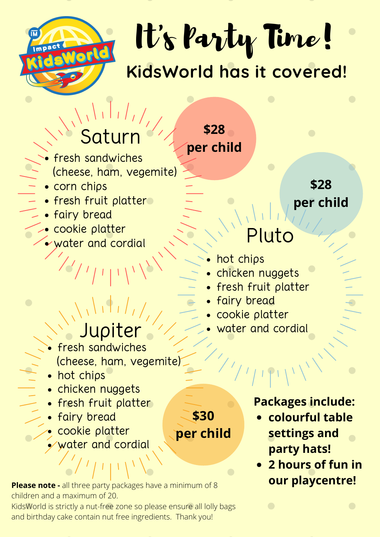

It' s Party Time! **KidsWorld has it covered!**

**\$28**

**per child**

# Saturn

- fresh sandwiches (cheese, ham, vegemite)
- corn chips
- **Fresh fruit platter** 
	- **.** · fairy bread
	- cookie platter
	- water and cordial

- fresh sandwiches (cheese, ham, vegemite)
- hot chips
- chicken nuggets
- fresh fruit platter
- fairy bread
- cookie platter
- water and cordial

**Please note -** all three party packages have a minimum of 8 children and a maximum of 20.

KidsWorld is strictly a nut-free zone so please ensure all lolly bags and birthday cake contain nut free ingredients. Thank you!

**\$28 per child**

# Pluto

- hot chips
- chicken nuggets
- fresh fruit platter
- fairy bread

**\$30**

**per child**

- cookie platter
- Jupiter 11, water and cordial

### **Packages include:**

- **colourful table settings and party hats!**
- **2 hours of fun in our playcentre!**

 $\bullet$ 

 $\bullet$